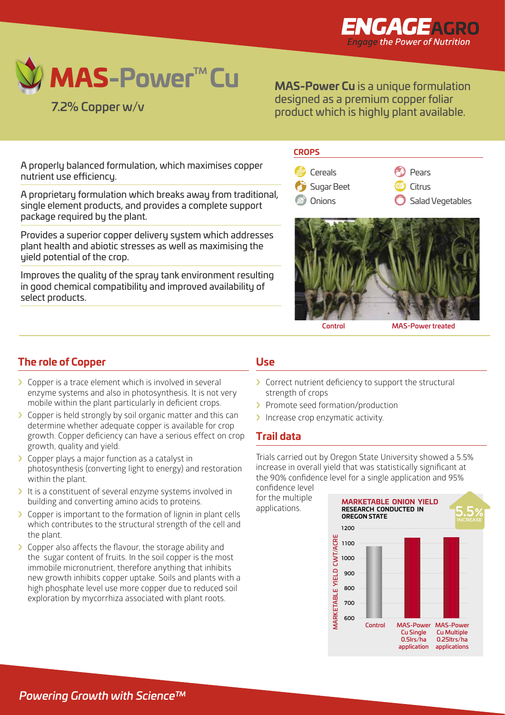



7.2% Copper w/v

**MAS-Power Cu** is a unique formulation designed as a premium copper foliar product which is highly plant available.

A properly balanced formulation, which maximises copper Vegetables nutrient use efficiency.

A proprietary formulation which breaks away from traditional,  $\overline{\phantom{a}}$  $\mathop{\mathsf{single}}\nolimits$  element products, and provides a complete support package required by the plant.

Provides a superior copper delivery system which addresses plant health and abiotic stresses as well as maximising the yield potential of the crop.

Improves the quality of the spray tank environment resulting in good chemical compatibility and improved availability of select products.

#### **CROPS** Root Crops Olives



Grass Top Fruit Leafy Salads Potatoes Pears

Root Crops

Citrus

Citrus Fruit Vine Crop Salad Vegetables



# **The role of Copper**

- $\sum$  Copper is a trace element which is involved in several enzyme systems and also in photosynthesis. It is not very mobile within the plant particularly in deficient crops.
- $\sum$  Copper is held strongly by soil organic matter and this can determine whether adequate copper is available for crop growth. Copper deficiency can have a serious effect on crop growth, quality and yield.
- $\sum$  Copper plays a major function as a catalyst in photosynthesis (converting light to energy) and restoration within the plant.
- $\blacktriangleright$  It is a constituent of several enzyme systems involved in building and converting amino acids to proteins.
- > Copper is important to the formation of lignin in plant cells which contributes to the structural strength of the cell and the plant.
- $\blacktriangleright$  Copper also affects the flavour, the storage ability and the sugar content of fruits. In the soil copper is the most immobile micronutrient, therefore anything that inhibits new growth inhibits copper uptake. Soils and plants with a high phosphate level use more copper due to reduced soil exploration by mycorrhiza associated with plant roots.

### **Use**

- $\sum$  Correct nutrient deficiency to support the structural strength of crops
- > Promote seed formation/production
- > Increase crop enzymatic activity.

### **Trail data**

Trials carried out by Oregon State University showed a 5.5% increase in overall yield that was statistically significant at the 90% confidence level for a single application and 95% confidence level

for the multiple applications.